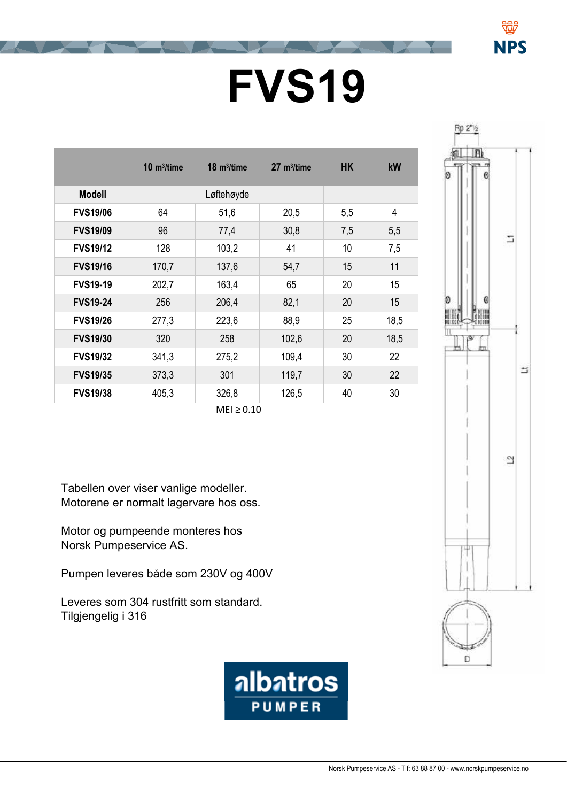## **FVS19 FVS10**

|                 | $10 \text{ m}^3$ /time | $18 \text{ m}^3$ /time | $27 \text{ m}^3$ /time | <b>HK</b> | kW   |
|-----------------|------------------------|------------------------|------------------------|-----------|------|
| <b>Modell</b>   |                        | Løftehøyde             |                        |           |      |
| <b>FVS19/06</b> | 64                     | 51,6                   | 20,5                   | 5,5       | 4    |
| <b>FVS19/09</b> | 96                     | 77,4                   | 30,8                   | 7,5       | 5,5  |
| <b>FVS19/12</b> | 128                    | 103,2                  | 41                     | 10        | 7,5  |
| <b>FVS19/16</b> | 170,7                  | 137,6                  | 54,7                   | 15        | 11   |
| <b>FVS19-19</b> | 202,7                  | 163,4                  | 65                     | 20        | 15   |
| <b>FVS19-24</b> | 256                    | 206,4                  | 82,1                   | 20        | 15   |
| <b>FVS19/26</b> | 277,3                  | 223,6                  | 88,9                   | 25        | 18,5 |
| <b>FVS19/30</b> | 320                    | 258                    | 102,6                  | 20        | 18,5 |
| <b>FVS19/32</b> | 341,3                  | 275,2                  | 109,4                  | 30        | 22   |
| <b>FVS19/35</b> | 373,3                  | 301                    | 119,7                  | 30        | 22   |
| <b>FVS19/38</b> | 405,3                  | 326,8                  | 126,5                  | 40        | 30   |
| $MEI \geq 0.10$ |                        |                        |                        |           |      |



NPS

Tabellen over viser vanlige modeller. Motorene er normalt lagervare hos oss.

Motor og pumpeende monteres hos Norsk Pumpeservice AS.

Pumpen leveres både som 230V og 400V

Leveres som 304 rustfritt som standard. Tilgjengelig i 316